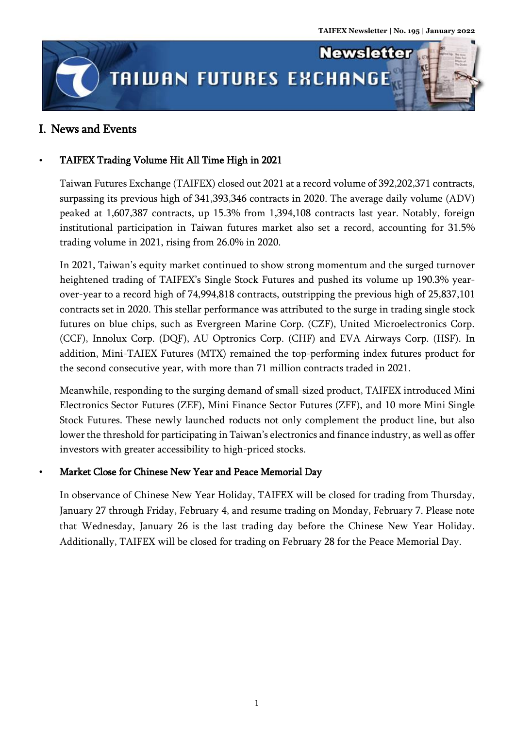

## I. News and Events

## TAIFEX Trading Volume Hit All Time High in 2021

Taiwan Futures Exchange (TAIFEX) closed out 2021 at a record volume of 392,202,371 contracts, surpassing its previous high of 341,393,346 contracts in 2020. The average daily volume (ADV) peaked at 1,607,387 contracts, up 15.3% from 1,394,108 contracts last year. Notably, foreign institutional participation in Taiwan futures market also set a record, accounting for 31.5% trading volume in 2021, rising from 26.0% in 2020.

In 2021, Taiwan's equity market continued to show strong momentum and the surged turnover heightened trading of TAIFEX's Single Stock Futures and pushed its volume up 190.3% yearover-year to a record high of 74,994,818 contracts, outstripping the previous high of 25,837,101 contracts set in 2020. This stellar performance was attributed to the surge in trading single stock futures on blue chips, such as Evergreen Marine Corp. (CZF), United Microelectronics Corp. (CCF), Innolux Corp. (DQF), AU Optronics Corp. (CHF) and EVA Airways Corp. (HSF). In addition, Mini-TAIEX Futures (MTX) remained the top-performing index futures product for the second consecutive year, with more than 71 million contracts traded in 2021.

Meanwhile, responding to the surging demand of small-sized product, TAIFEX introduced Mini Electronics Sector Futures (ZEF), Mini Finance Sector Futures (ZFF), and 10 more Mini Single Stock Futures. These newly launched roducts not only complement the product line, but also lower the threshold for participating in Taiwan's electronics and finance industry, as well as offer investors with greater accessibility to high-priced stocks.

### Market Close for Chinese New Year and Peace Memorial Day

In observance of Chinese New Year Holiday, TAIFEX will be closed for trading from Thursday, January 27 through Friday, February 4, and resume trading on Monday, February 7. Please note that Wednesday, January 26 is the last trading day before the Chinese New Year Holiday. Additionally, TAIFEX will be closed for trading on February 28 for the Peace Memorial Day.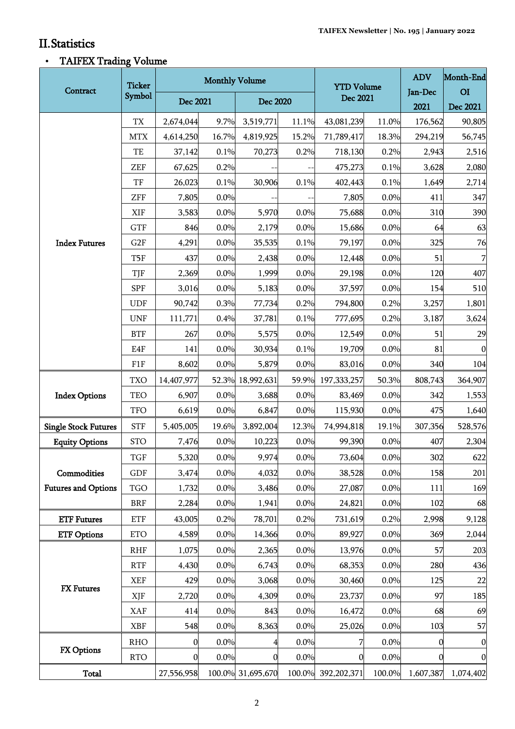.<br>Titul

ı,

## II.Statistics

# TAIFEX Trading Volume

| Contract                                  | <b>Ticker</b><br>Symbol | <b>Monthly Volume</b> |       |                   |       | <b>YTD Volume</b>  |        | <b>ADV</b>      | Month-End                  |
|-------------------------------------------|-------------------------|-----------------------|-------|-------------------|-------|--------------------|--------|-----------------|----------------------------|
|                                           |                         | Dec 2021              |       | Dec 2020          |       | Dec 2021           |        | Jan-Dec<br>2021 | O <sub>I</sub><br>Dec 2021 |
|                                           | TX                      | 2,674,044             | 9.7%  | 3,519,771         | 11.1% | 43,081,239         | 11.0%  | 176,562         | 90,805                     |
| <b>Index Futures</b>                      | <b>MTX</b>              | 4,614,250             | 16.7% | 4,819,925         | 15.2% | 71,789,417         | 18.3%  | 294,219         | 56,745                     |
|                                           | TE                      | 37,142                | 0.1%  | 70,273            | 0.2%  | 718,130            | 0.2%   | 2,943           | 2,516                      |
|                                           | <b>ZEF</b>              | 67,625                | 0.2%  |                   |       | 475,273            | 0.1%   | 3,628           | 2,080                      |
|                                           | TF                      | 26,023                | 0.1%  | 30,906            | 0.1%  | 402,443            | 0.1%   | 1,649           | 2,714                      |
|                                           | ZFF                     | 7,805                 | 0.0%  |                   |       | 7,805              | 0.0%   | 411             | 347                        |
|                                           | XIF                     | 3,583                 | 0.0%  | 5,970             | 0.0%  | 75,688             | 0.0%   | 310             | 390                        |
|                                           | <b>GTF</b>              | 846                   | 0.0%  | 2,179             | 0.0%  | 15,686             | 0.0%   | 64              | 63                         |
|                                           | G2F                     | 4,291                 | 0.0%  | 35,535            | 0.1%  | 79,197             | 0.0%   | 325             | 76                         |
|                                           | T <sub>5F</sub>         | 437                   | 0.0%  | 2,438             | 0.0%  | 12,448             | 0.0%   | 51              | $\overline{7}$             |
|                                           | TJF                     | 2,369                 | 0.0%  | 1,999             | 0.0%  | 29,198             | 0.0%   | 120             | 407                        |
|                                           | <b>SPF</b>              | 3,016                 | 0.0%  | 5,183             | 0.0%  | 37,597             | 0.0%   | 154             | 510                        |
|                                           | <b>UDF</b>              | 90,742                | 0.3%  | 77,734            | 0.2%  | 794,800            | 0.2%   | 3,257           | 1,801                      |
|                                           | <b>UNF</b>              | 111,771               | 0.4%  | 37,781            | 0.1%  | 777,695            | 0.2%   | 3,187           | 3,624                      |
|                                           | <b>BTF</b>              | 267                   | 0.0%  | 5,575             | 0.0%  | 12,549             | 0.0%   | 51              | 29                         |
|                                           | E4F                     | 141                   | 0.0%  | 30,934            | 0.1%  | 19,709             | 0.0%   | 81              | $\boldsymbol{0}$           |
|                                           | F1F                     | 8,602                 | 0.0%  | 5,879             | 0.0%  | 83,016             | 0.0%   | 340             | 104                        |
| <b>Index Options</b>                      | <b>TXO</b>              | 14,407,977            |       | 52.3% 18,992,631  | 59.9% | 197, 333, 257      | 50.3%  | 808,743         | 364,907                    |
|                                           | TEO                     | 6,907                 | 0.0%  | 3,688             | 0.0%  | 83,469             | 0.0%   | 342             | 1,553                      |
|                                           | <b>TFO</b>              | 6,619                 | 0.0%  | 6,847             | 0.0%  | 115,930            | 0.0%   | 475             | 1,640                      |
| <b>Single Stock Futures</b>               | <b>STF</b>              | 5,405,005             | 19.6% | 3,892,004         | 12.3% | 74,994,818         | 19.1%  | 307,356         | 528,576                    |
| <b>Equity Options</b>                     | <b>STO</b>              | 7,476                 | 0.0%  | 10,223            | 0.0%  | 99,390             | 0.0%   | 407             | 2,304                      |
| Commodities<br><b>Futures and Options</b> | TGF                     | 5,320                 | 0.0%  | 9,974             | 0.0%  | 73,604             | 0.0%   | 302             | 622                        |
|                                           | GDF                     | 3,474                 | 0.0%  | 4,032             | 0.0%  | 38,528             | 0.0%   | 158             | 201                        |
|                                           | <b>TGO</b>              | 1,732                 | 0.0%  | 3,486             | 0.0%  | 27,087             | 0.0%   | 111             | 169                        |
|                                           | <b>BRF</b>              | 2,284                 | 0.0%  | 1,941             | 0.0%  | 24,821             | 0.0%   | 102             | 68                         |
| <b>ETF Futures</b>                        | <b>ETF</b>              | 43,005                | 0.2%  | 78,701            | 0.2%  | 731,619            | 0.2%   | 2,998           | 9,128                      |
| <b>ETF Options</b>                        | <b>ETO</b>              | 4,589                 | 0.0%  | 14,366            | 0.0%  | 89,927             | 0.0%   | 369             | 2,044                      |
| <b>FX</b> Futures                         | <b>RHF</b>              | 1,075                 | 0.0%  | 2,365             | 0.0%  | 13,976             | 0.0%   | 57              | 203                        |
|                                           | <b>RTF</b>              | 4,430                 | 0.0%  | 6,743             | 0.0%  | 68,353             | 0.0%   | 280             | 436                        |
|                                           | <b>XEF</b>              | 429                   | 0.0%  | 3,068             | 0.0%  | 30,460             | 0.0%   | 125             | 22                         |
|                                           | XJF                     | 2,720                 | 0.0%  | 4,309             | 0.0%  | 23,737             | 0.0%   | 97              | 185                        |
|                                           | <b>XAF</b>              | 414                   | 0.0%  | 843               | 0.0%  | 16,472             | 0.0%   | 68              | 69                         |
|                                           | <b>XBF</b>              | 548                   | 0.0%  | 8,363             | 0.0%  | 25,026             | 0.0%   | 103             | 57                         |
| FX Options                                | <b>RHO</b>              | 0                     | 0.0%  | 4                 | 0.0%  | 7                  | 0.0%   | $\mathbf 0$     | $\mathbf{0}$               |
|                                           | <b>RTO</b>              | 0                     | 0.0%  | 0                 | 0.0%  | 0                  | 0.0%   | $\Omega$        | $\mathbf{0}$               |
| <b>Total</b>                              |                         | 27,556,958            |       | 100.0% 31,695,670 |       | 100.0% 392,202,371 | 100.0% | 1,607,387       | 1,074,402                  |